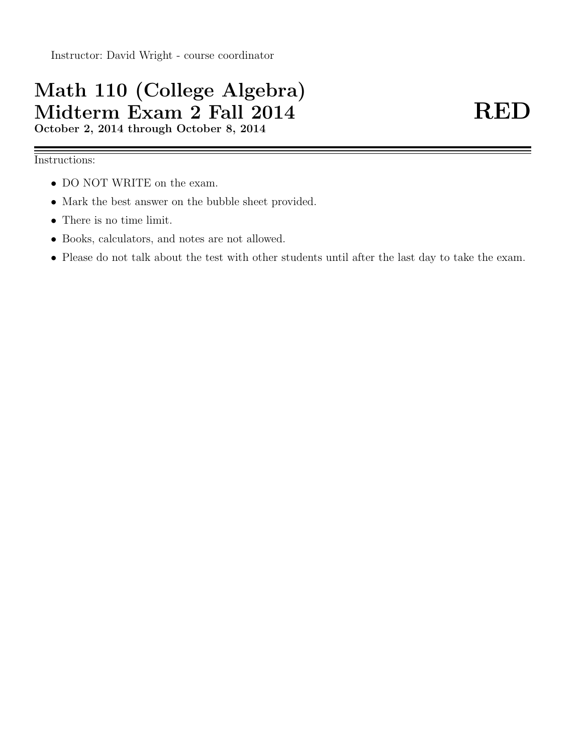# Math 110 (College Algebra) Midterm Exam 2 Fall 2014 RED October 2, 2014 through October 8, 2014

### Instructions:

- DO NOT WRITE on the exam.
- Mark the best answer on the bubble sheet provided.
- There is no time limit.
- Books, calculators, and notes are not allowed.
- Please do not talk about the test with other students until after the last day to take the exam.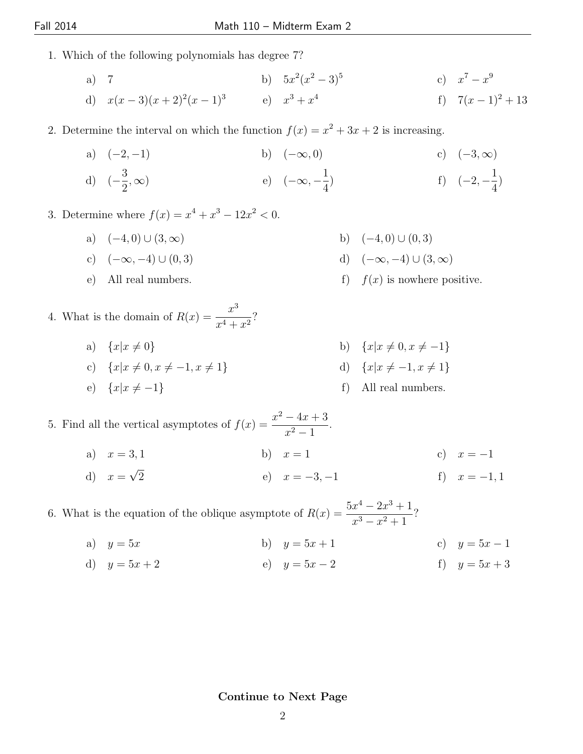- 1. Which of the following polynomials has degree 7?
	- a) 7 b)  $5x^2(x^2-3)^5$ c)  $x^7 - x^9$
	- d)  $x(x-3)(x+2)^2(x-1)^3$  e)  $x^3 + x^4$ f)  $7(x-1)^2+13$

2. Determine the interval on which the function  $f(x) = x^2 + 3x + 2$  is increasing.

a)  $(-2,-1)$  b)  $(-\infty,0)$  c)  $(-3,\infty)$ 

d) 
$$
\left(-\frac{3}{2}, \infty\right)
$$
 e)  $\left(-\infty, -\frac{1}{4}\right)$  f)  $\left(-2, -\frac{1}{4}\right)$ 

3. Determine where  $f(x) = x^4 + x^3 - 12x^2 < 0$ .

- a)  $(-4, 0) \cup (3, \infty)$  b)  $(-4, 0) \cup (0, 3)$
- c)  $(-\infty, -4) \cup (0, 3)$  d)  $(-\infty, -4) \cup (3, \infty)$
- e) All real numbers. f)  $f(x)$  is nowhere positive.
- 4. What is the domain of  $R(x) = \frac{x^3}{4+x^2}$  $\frac{x^4+x^2}{x^4+x^2}$ ?
	- a)  ${x|x \neq 0}$  b)  ${x|x \neq 0, x \neq -1}$
	- c)  ${x|x \neq 0, x \neq -1, x \neq 1}$  d)  ${x|x \neq -1, x \neq 1}$
	- e)  $\{x|x \neq -1\}$  f) All real numbers.

5. Find all the vertical asymptotes of  $f(x) = \frac{x^2 - 4x + 3}{x^2 - 4x + 3}$  $\frac{1}{x^2-1}$ .

- a)  $x = 3, 1$  b)  $x = 1$  c)  $x = -1$
- d)  $x = \sqrt{ }$ e)  $x = -3, -1$  f)  $x = -1, 1$

6. What is the equation of the oblique asymptote of  $R(x) = \frac{5x^4 - 2x^3 + 1}{x^3 - x^2 + 1}$  $\frac{x}{x^3-x^2+1}$ ?

- a)  $y = 5x$  b)  $y = 5x + 1$  c)  $y = 5x 1$
- d)  $y = 5x + 2$  e)  $y = 5x 2$  f)  $y = 5x + 3$

#### Continue to Next Page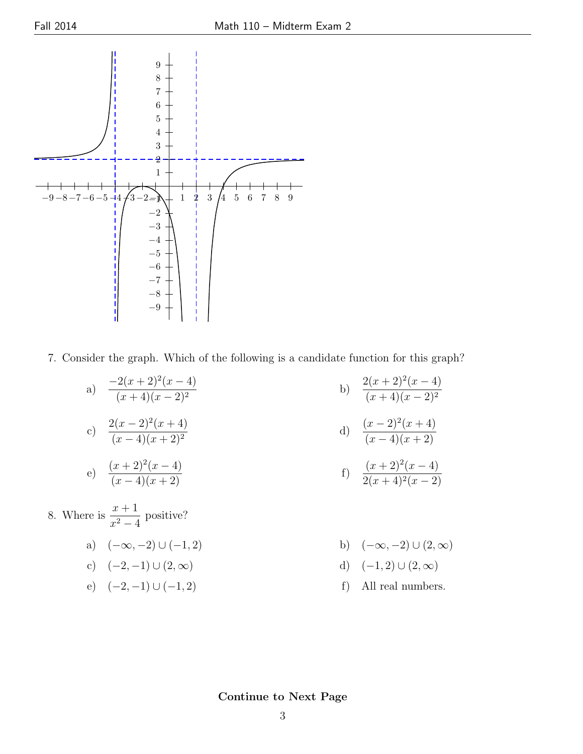

7. Consider the graph. Which of the following is a candidate function for this graph?

- a)  $\frac{-2(x+2)^2(x-4)}{(x+4)(x-2)^2}$  $(x+4)(x-2)^2$ b)  $\frac{2(x+2)^2(x-4)}{(x+4)(x-2)^2}$  $(x+4)(x-2)^2$ c)  $\frac{2(x-2)^2(x+4)}{(x-4)(x+2)^2}$  $(x-4)(x+2)^2$ d)  $\frac{(x-2)^2(x+4)}{(x-4)(x+2)}$  $(x-4)(x+2)$ e)  $\frac{(x+2)^2(x-4)}{(x-4)(x+2)}$  f)  $\frac{(x+2)^2}{2(x+4)^2}$  $(x-4)$  $2(x+4)^2(x-2)$ 8. Where is  $\frac{x+1}{2}$  $\frac{x+1}{x^2-4}$  positive?
	- a)  $(-\infty, -2) \cup (-1, 2)$  b)  $(-\infty, -2) \cup (2, \infty)$
	- c)  $(-2,-1) \cup (2,\infty)$  d)  $(-1,2) \cup (2,\infty)$
	-
- 
- 
- e)  $(-2,-1) \cup (-1,2)$  f) All real numbers.

Continue to Next Page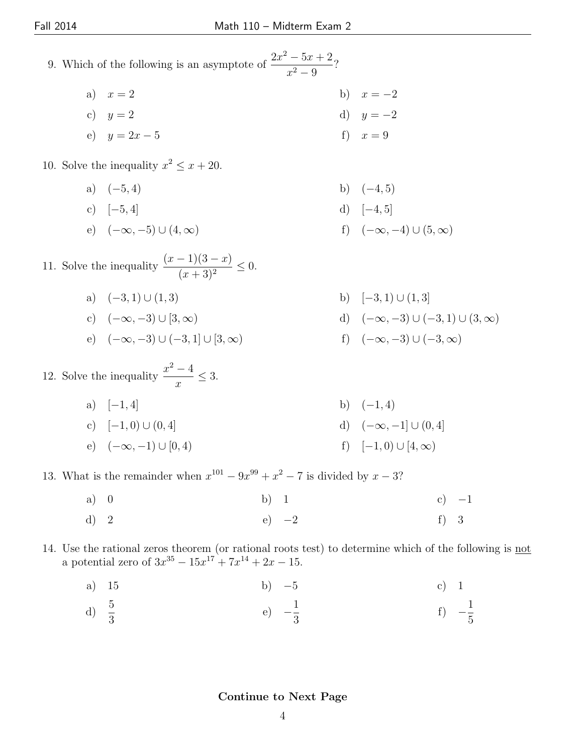- 9. Which of the following is an asymptote of  $\frac{2x^2 5x + 2}{x^2 6x + 2}$  $\frac{3x+2}{x^2-9}$ ?
	- a)  $x = 2$  b)  $x = -2$ c)  $y = 2$  d)  $y = -2$
	- e)  $y = 2x 5$  f)  $x = 9$
- 10. Solve the inequality  $x^2 \leq x + 20$ .
	- a)  $(-5, 4)$  b)  $(-4, 5)$
	- c)  $[-5, 4]$  d)  $[-4, 5]$
	- e)  $(-\infty, -5) \cup (4, \infty)$  f)  $(-\infty, -4) \cup (5, \infty)$

11. Solve the inequality  $\frac{(x-1)(3-x)}{(x+1)(3-x)}$  $\frac{f'(x-\alpha)}{(x+3)^2} \leq 0.$ 

- a)  $(-3,1) \cup (1,3)$  b)  $[-3,1) \cup (1,3]$ c)  $(-\infty, -3) \cup [3, \infty)$  d)  $(-\infty, -3) \cup (-3, 1) \cup (3, \infty)$
- e)  $(-\infty, -3) \cup (-3, 1] \cup [3, \infty)$  f)  $(-\infty, -3) \cup (-3, \infty)$
- 12. Solve the inequality  $\frac{x^2-4}{x^2-4}$  $\frac{1}{x} \leq 3.$ 
	- a)  $[-1, 4]$  b)  $(-1, 4)$ c)  $[-1, 0) \cup (0, 4]$  d)  $(-\infty, -1] \cup (0, 4]$ e)  $(-\infty, -1) \cup [0, 4)$  f)  $[-1, 0) \cup [4, \infty)$

13. What is the remainder when  $x^{101} - 9x^{99} + x^2 - 7$  is divided by  $x - 3$ ?

- a) 0 b) 1 c)  $-1$ d) 2 e)  $-2$  f) 3
- 14. Use the rational zeros theorem (or rational roots test) to determine which of the following is not a potential zero of  $3x^{35} - 15x^{17} + 7x^{14} + 2x - 15$ .
	- a) 15 b)  $-5$  c) 1
	- d)  $rac{5}{3}$ e) − 1 3 f) − 1 5

#### Continue to Next Page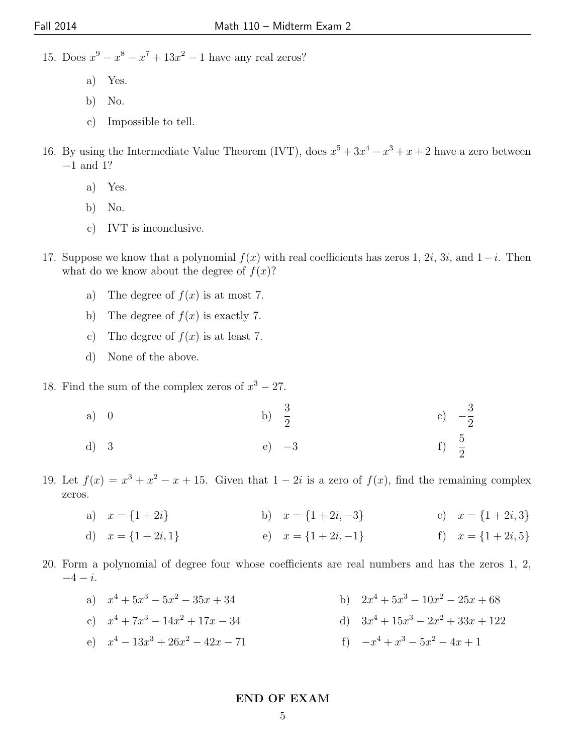15. Does  $x^9 - x^8 - x^7 + 13x^2 - 1$  have any real zeros?

- a) Yes.
- b) No.
- c) Impossible to tell.
- 16. By using the Intermediate Value Theorem (IVT), does  $x^5 + 3x^4 x^3 + x + 2$  have a zero between −1 and 1?
	- a) Yes.
	- b) No.
	- c) IVT is inconclusive.
- 17. Suppose we know that a polynomial  $f(x)$  with real coefficients has zeros 1, 2i, 3i, and 1–i. Then what do we know about the degree of  $f(x)$ ?
	- a) The degree of  $f(x)$  is at most 7.
	- b) The degree of  $f(x)$  is exactly 7.
	- c) The degree of  $f(x)$  is at least 7.
	- d) None of the above.
- 18. Find the sum of the complex zeros of  $x^3 27$ .
	- a) 0 b)  $\frac{3}{2}$ 2 c) − 3 2
	- d) 3 e)  $-3$  f)  $\frac{5}{2}$  $rac{5}{2}$
- 19. Let  $f(x) = x^3 + x^2 x + 15$ . Given that  $1 2i$  is a zero of  $f(x)$ , find the remaining complex zeros.
	- a)  $x = \{1 + 2i\}$  b)  $x = \{1 + 2i, -3\}$  c)  $x = \{1 + 2i, 3\}$

d) 
$$
x = \{1+2i, 1\}
$$
 e)  $x = \{1+2i, -1\}$  f)  $x = \{1+2i, 5\}$ 

20. Form a polynomial of degree four whose coefficients are real numbers and has the zeros 1, 2,  $-4 - i$ .

a) 
$$
x^4 + 5x^3 - 5x^2 - 35x + 34
$$
  
b)  $2x^4 + 5x^3 - 10x^2 - 25x + 68$ 

c) 
$$
x^4 + 7x^3 - 14x^2 + 17x - 34
$$
 d)  $3x^4 + 15x^3 - 2x^2 + 33x + 122$ 

e)  $x^4 - 13x^3 + 26x^2 - 42x - 71$  f)  $-x$  $x^4 + x^3 - 5x^2 - 4x + 1$ 

END OF EXAM